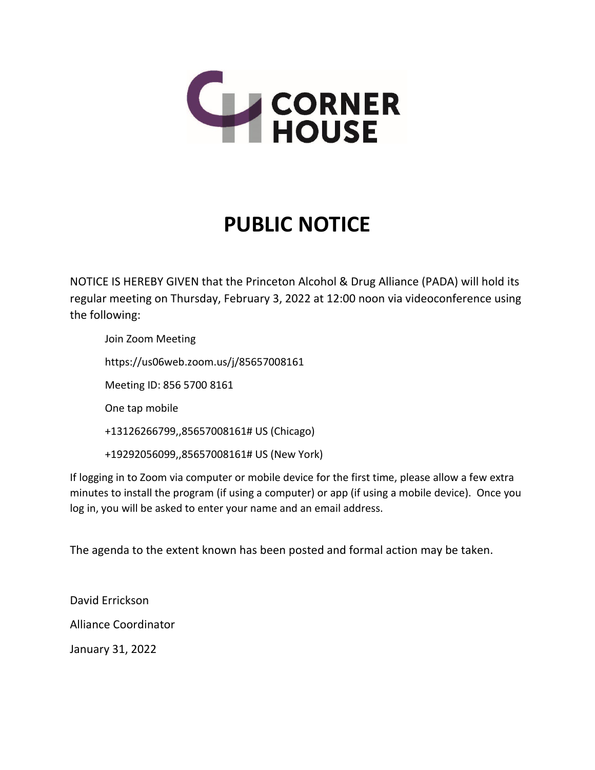

# **PUBLIC NOTICE**

NOTICE IS HEREBY GIVEN that the Princeton Alcohol & Drug Alliance (PADA) will hold its regular meeting on Thursday, February 3, 2022 at 12:00 noon via videoconference using the following:

Join Zoom Meeting https://us06web.zoom.us/j/85657008161 Meeting ID: 856 5700 8161 One tap mobile +13126266799,,85657008161# US (Chicago)

+19292056099,,85657008161# US (New York)

If logging in to Zoom via computer or mobile device for the first time, please allow a few extra minutes to install the program (if using a computer) or app (if using a mobile device). Once you log in, you will be asked to enter your name and an email address.

The agenda to the extent known has been posted and formal action may be taken.

David Errickson Alliance Coordinator January 31, 2022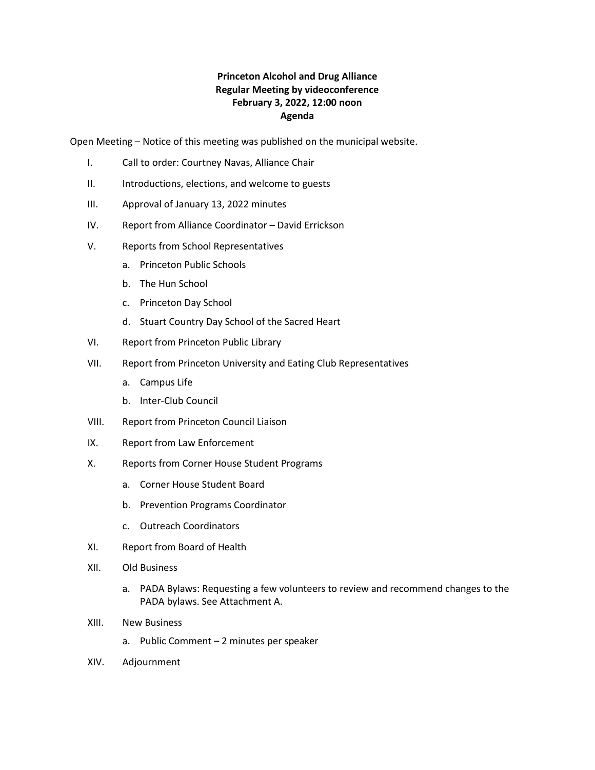## **Princeton Alcohol and Drug Alliance Regular Meeting by videoconference February 3, 2022, 12:00 noon Agenda**

Open Meeting – Notice of this meeting was published on the municipal website.

- I. Call to order: Courtney Navas, Alliance Chair
- II. Introductions, elections, and welcome to guests
- III. Approval of January 13, 2022 minutes
- IV. Report from Alliance Coordinator David Errickson
- V. Reports from School Representatives
	- a. Princeton Public Schools
	- b. The Hun School
	- c. Princeton Day School
	- d. Stuart Country Day School of the Sacred Heart
- VI. Report from Princeton Public Library
- VII. Report from Princeton University and Eating Club Representatives
	- a. Campus Life
	- b. Inter-Club Council
- VIII. Report from Princeton Council Liaison
- IX. Report from Law Enforcement
- X. Reports from Corner House Student Programs
	- a. Corner House Student Board
	- b. Prevention Programs Coordinator
	- c. Outreach Coordinators
- XI. Report from Board of Health
- XII. Old Business
	- a. PADA Bylaws: Requesting a few volunteers to review and recommend changes to the PADA bylaws. See Attachment A.
- XIII. New Business
	- a. Public Comment 2 minutes per speaker
- XIV. Adjournment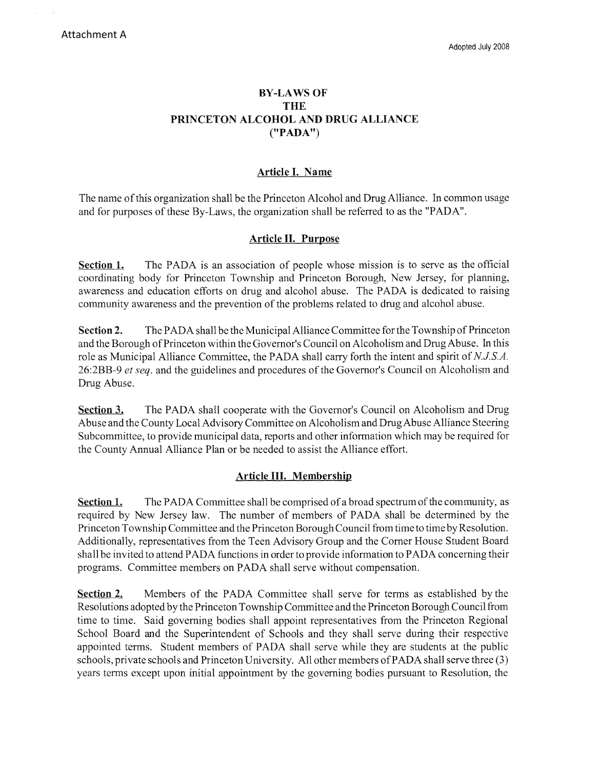### **BY-LAWS OF THE PRINCETON ALCOHOL AND DRUG ALLIANCE ("PADA")**

## **Article** I. **Name**

The name of this organization shall be the Princeton Alcohol and Drug Alliance. In common usage and for purposes of these By-Laws, the organization shall be referred to as the "PADA".

## **Article H. Purpose**

**Section 1.** The PADA is an association of people whose mission is to serve as the official coordinating body for Princeton Township and Princeton Borough, New Jersey, for planning, awareness and education efforts on drug and alcohol abuse. The PADA is dedicated to raising community awareness and the prevention of the problems related to drug and alcohol abuse.

**Section 2.** The PADA shall be the Municipal Alliance Committee for the Township of Princeton and the Borough of Princeton within the Governor's Council on Alcoholism and Drug Abuse. In this role as Municipal Alliance Committee, the PADA shall carry forth the intent and spirit of *NJ.SA.*  26:2BB-9 *et seq.* and the guidelines and procedures of the Governor's Council on Alcoholism and Drug Abuse.

**Section 3.** The PADA shall cooperate with the Governor's Council on Alcoholism and Drug Abuse and the County Local Advisory Committee on Alcoholism and Drug Abuse Alliance Steering Subcommittee, to provide municipal data, reports and other information which may be required for the County Annual Alliance Plan or be needed to assist the Alliance effort.

# **Article HI. Membership**

**Section 1.** The PADA Committee shall be comprised of a broad spectrum of the community, as required by New Jersey law. The number of members of PADA shall be determined by the Princeton Township Committee and the Princeton Borough Council from time to time by Resolution. Additionally, representatives from the Teen Advisory Group and the Comer House Student Board shall be invited to attend PADA functions in order to provide information to PADA concerning their programs. Committee members on PADA shall serve without compensation.

**Section 2.** Members of the PADA Committee shall serve for terms as established by the Resolutions adopted by the Princeton Township Committee and the Princeton Borough Council from time to time. Said governing bodies shall appoint representatives from the Princeton Regional School Board and the Superintendent of Schools and they shall serve during their respective appointed terms. Student members of PADA shall serve while they are students at the public schools, private schools and Princeton University. All other members of PADA shall serve three (3) years terms except upon initial appointment by the governing bodies pursuant to Resolution, the